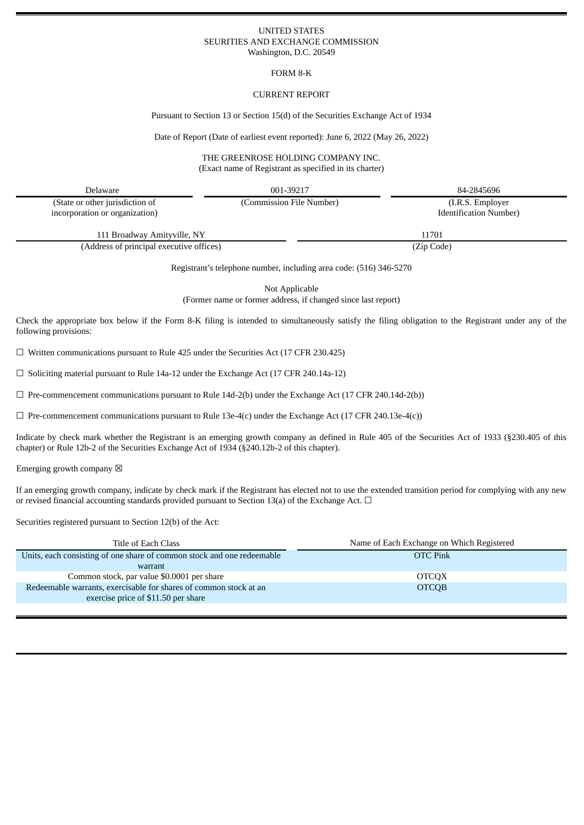#### UNITED STATES SEURITIES AND EXCHANGE COMMISSION Washington, D.C. 20549

### FORM 8-K

## CURRENT REPORT

Pursuant to Section 13 or Section 15(d) of the Securities Exchange Act of 1934

Date of Report (Date of earliest event reported): June 6, 2022 (May 26, 2022)

### THE GREENROSE HOLDING COMPANY INC. (Exact name of Registrant as specified in its charter)

| Delaware                                 | 001-39217                | 84-2845696                    |  |
|------------------------------------------|--------------------------|-------------------------------|--|
| (State or other jurisdiction of          | (Commission File Number) | (I.R.S. Employer)             |  |
| incorporation or organization)           |                          | <b>Identification Number)</b> |  |
| 111 Broadway Amityville, NY              |                          | 11701                         |  |
| (Address of principal executive offices) |                          | (Zip Code)                    |  |

Registrant's telephone number, including area code: (516) 346-5270

Not Applicable

(Former name or former address, if changed since last report)

Check the appropriate box below if the Form 8-K filing is intended to simultaneously satisfy the filing obligation to the Registrant under any of the following provisions:

 $\Box$  Written communications pursuant to Rule 425 under the Securities Act (17 CFR 230.425)

 $\Box$  Soliciting material pursuant to Rule 14a-12 under the Exchange Act (17 CFR 240.14a-12)

 $\Box$  Pre-commencement communications pursuant to Rule 14d-2(b) under the Exchange Act (17 CFR 240.14d-2(b))

 $\Box$  Pre-commencement communications pursuant to Rule 13e-4(c) under the Exchange Act (17 CFR 240.13e-4(c))

Indicate by check mark whether the Registrant is an emerging growth company as defined in Rule 405 of the Securities Act of 1933 (§230.405 of this chapter) or Rule 12b-2 of the Securities Exchange Act of 1934 (§240.12b-2 of this chapter).

Emerging growth company  $\boxtimes$ 

If an emerging growth company, indicate by check mark if the Registrant has elected not to use the extended transition period for complying with any new or revised financial accounting standards provided pursuant to Section 13(a) of the Exchange Act.  $\Box$ 

Securities registered pursuant to Section 12(b) of the Act:

| Title of Each Class                                                    | Name of Each Exchange on Which Registered |
|------------------------------------------------------------------------|-------------------------------------------|
| Units, each consisting of one share of common stock and one redeemable | <b>OTC</b> Pink                           |
| warrant                                                                |                                           |
| Common stock, par value \$0.0001 per share                             | <b>OTCOX</b>                              |
| Redeemable warrants, exercisable for shares of common stock at an      | <b>OTCOB</b>                              |
| exercise price of \$11.50 per share                                    |                                           |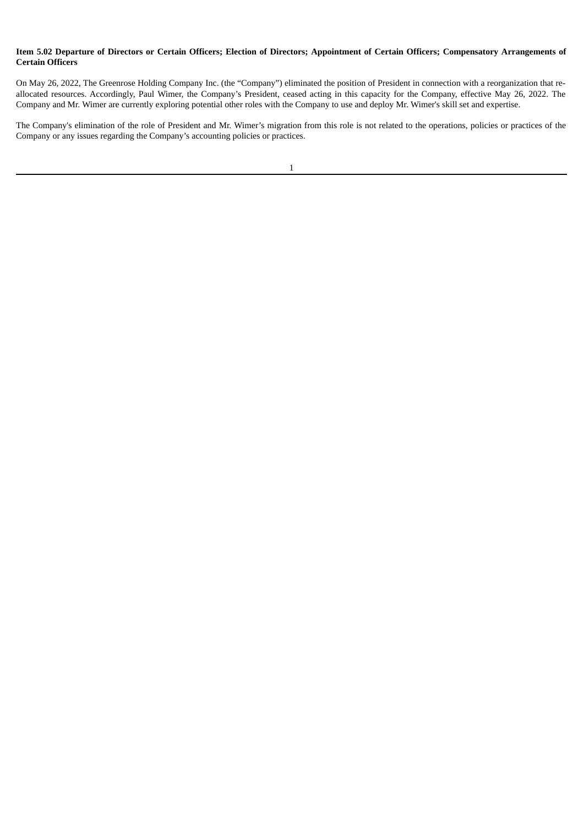### Item 5.02 Departure of Directors or Certain Officers; Election of Directors; Appointment of Certain Officers; Compensatory Arrangements of **Certain Officers**

On May 26, 2022, The Greenrose Holding Company Inc. (the "Company") eliminated the position of President in connection with a reorganization that reallocated resources. Accordingly, Paul Wimer, the Company's President, ceased acting in this capacity for the Company, effective May 26, 2022. The Company and Mr. Wimer are currently exploring potential other roles with the Company to use and deploy Mr. Wimer's skill set and expertise.

The Company's elimination of the role of President and Mr. Wimer's migration from this role is not related to the operations, policies or practices of the Company or any issues regarding the Company's accounting policies or practices.